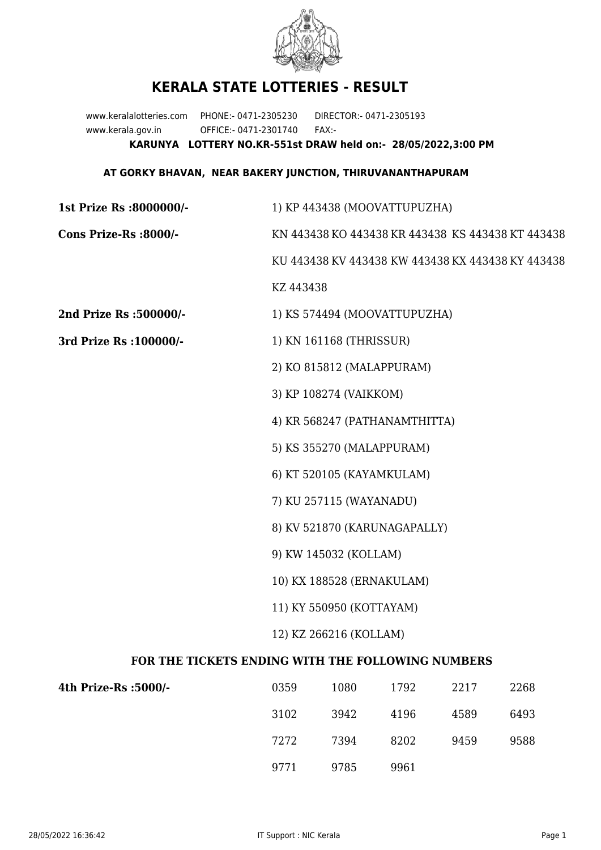

## **KERALA STATE LOTTERIES - RESULT**

www.keralalotteries.com PHONE:- 0471-2305230 DIRECTOR:- 0471-2305193 www.kerala.gov.in OFFICE:- 0471-2301740 FAX:- **KARUNYA LOTTERY NO.KR-551st DRAW held on:- 28/05/2022,3:00 PM**

## **AT GORKY BHAVAN, NEAR BAKERY JUNCTION, THIRUVANANTHAPURAM**

| 1st Prize Rs :8000000/-                           | 1) KP 443438 (MOOVATTUPUZHA)                                                       |                                                   |                                                   |      |      |  |
|---------------------------------------------------|------------------------------------------------------------------------------------|---------------------------------------------------|---------------------------------------------------|------|------|--|
| Cons Prize-Rs :8000/-                             |                                                                                    | KN 443438 KO 443438 KR 443438 KS 443438 KT 443438 |                                                   |      |      |  |
|                                                   |                                                                                    |                                                   | KU 443438 KV 443438 KW 443438 KX 443438 KY 443438 |      |      |  |
|                                                   | KZ 443438                                                                          |                                                   |                                                   |      |      |  |
| 2nd Prize Rs :500000/-                            |                                                                                    |                                                   | 1) KS 574494 (MOOVATTUPUZHA)                      |      |      |  |
| 3rd Prize Rs : 100000/-                           | 1) KN 161168 (THRISSUR)                                                            |                                                   |                                                   |      |      |  |
|                                                   |                                                                                    | 2) KO 815812 (MALAPPURAM)                         |                                                   |      |      |  |
|                                                   |                                                                                    | 3) KP 108274 (VAIKKOM)                            |                                                   |      |      |  |
|                                                   |                                                                                    |                                                   | 4) KR 568247 (PATHANAMTHITTA)                     |      |      |  |
|                                                   |                                                                                    | 5) KS 355270 (MALAPPURAM)                         |                                                   |      |      |  |
|                                                   |                                                                                    | 6) KT 520105 (KAYAMKULAM)                         |                                                   |      |      |  |
|                                                   |                                                                                    | 7) KU 257115 (WAYANADU)                           |                                                   |      |      |  |
|                                                   | 8) KV 521870 (KARUNAGAPALLY)<br>9) KW 145032 (KOLLAM)<br>10) KX 188528 (ERNAKULAM) |                                                   |                                                   |      |      |  |
|                                                   |                                                                                    |                                                   |                                                   |      |      |  |
|                                                   |                                                                                    |                                                   |                                                   |      |      |  |
|                                                   | 11) KY 550950 (KOTTAYAM)                                                           |                                                   |                                                   |      |      |  |
|                                                   | 12) KZ 266216 (KOLLAM)                                                             |                                                   |                                                   |      |      |  |
| FOR THE TICKETS ENDING WITH THE FOLLOWING NUMBERS |                                                                                    |                                                   |                                                   |      |      |  |
| 4th Prize-Rs :5000/-                              | 0359                                                                               | 1080                                              | 1792                                              | 2217 | 2268 |  |
|                                                   |                                                                                    |                                                   |                                                   |      |      |  |

| -\UUUC: 2A-921 | ບວວນ | TOON | 1794 | 44 I I | 2200 |
|----------------|------|------|------|--------|------|
|                | 3102 | 3942 | 4196 | 4589   | 6493 |
|                | 7272 | 7394 | 8202 | 9459   | 9588 |
|                | 9771 | 9785 | 9961 |        |      |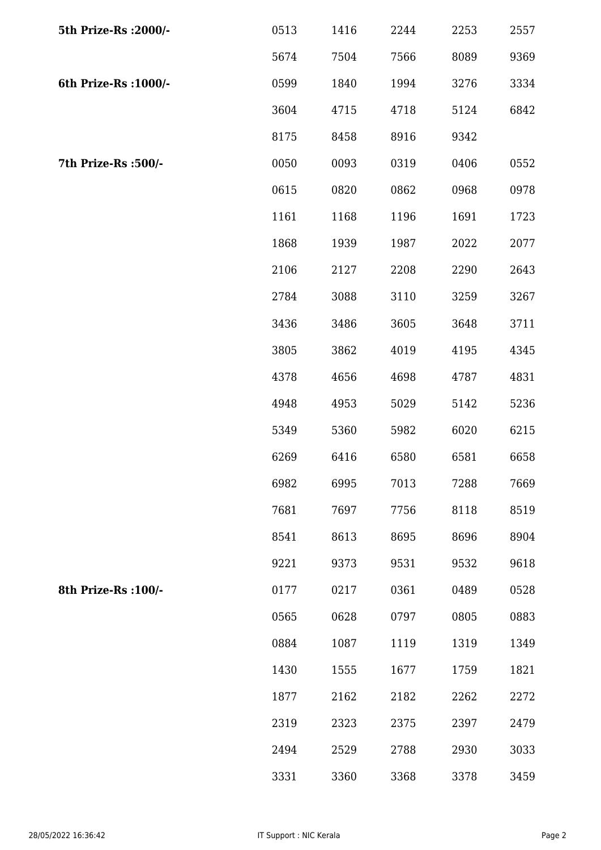| 5th Prize-Rs : 2000/- | 0513 | 1416 | 2244 | 2253 | 2557 |
|-----------------------|------|------|------|------|------|
|                       | 5674 | 7504 | 7566 | 8089 | 9369 |
| 6th Prize-Rs : 1000/- | 0599 | 1840 | 1994 | 3276 | 3334 |
|                       | 3604 | 4715 | 4718 | 5124 | 6842 |
|                       | 8175 | 8458 | 8916 | 9342 |      |
| 7th Prize-Rs :500/-   | 0050 | 0093 | 0319 | 0406 | 0552 |
|                       | 0615 | 0820 | 0862 | 0968 | 0978 |
|                       | 1161 | 1168 | 1196 | 1691 | 1723 |
|                       | 1868 | 1939 | 1987 | 2022 | 2077 |
|                       | 2106 | 2127 | 2208 | 2290 | 2643 |
|                       | 2784 | 3088 | 3110 | 3259 | 3267 |
|                       | 3436 | 3486 | 3605 | 3648 | 3711 |
|                       | 3805 | 3862 | 4019 | 4195 | 4345 |
|                       | 4378 | 4656 | 4698 | 4787 | 4831 |
|                       | 4948 | 4953 | 5029 | 5142 | 5236 |
|                       | 5349 | 5360 | 5982 | 6020 | 6215 |
|                       | 6269 | 6416 | 6580 | 6581 | 6658 |
|                       | 6982 | 6995 | 7013 | 7288 | 7669 |
|                       | 7681 | 7697 | 7756 | 8118 | 8519 |
|                       | 8541 | 8613 | 8695 | 8696 | 8904 |
|                       | 9221 | 9373 | 9531 | 9532 | 9618 |
| 8th Prize-Rs : 100/-  | 0177 | 0217 | 0361 | 0489 | 0528 |
|                       | 0565 | 0628 | 0797 | 0805 | 0883 |
|                       | 0884 | 1087 | 1119 | 1319 | 1349 |
|                       | 1430 | 1555 | 1677 | 1759 | 1821 |
|                       | 1877 | 2162 | 2182 | 2262 | 2272 |
|                       | 2319 | 2323 | 2375 | 2397 | 2479 |
|                       | 2494 | 2529 | 2788 | 2930 | 3033 |
|                       | 3331 | 3360 | 3368 | 3378 | 3459 |